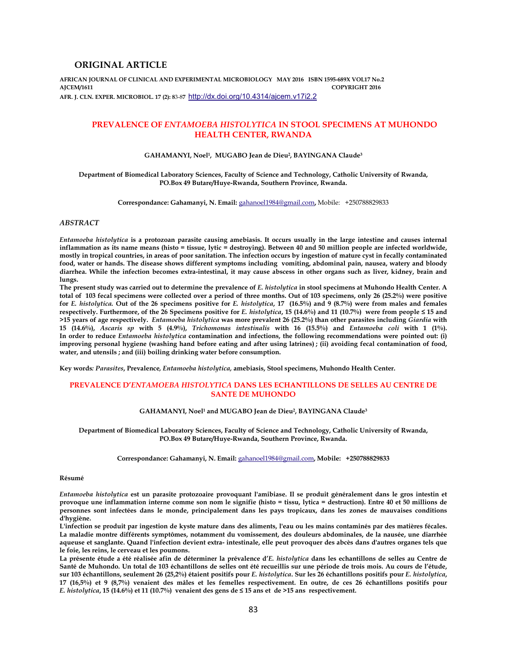## **ORIGINAL ARTICLE**

**AFRICAN JOURNAL OF CLINICAL AND EXPERIMENTAL MICROBIOLOGY MAY 2016 ISBN 1595-689X VOL17 No.2 AJCEM/1611 COPYRIGHT 2016 AFR. J. CLN. EXPER. MICROBIOL. 17 (2): 8**3-8**7** http://dx.doi.org/10.4314/ajcem.v17i2.2

# **PREVALENCE OF** *ENTAMOEBA HISTOLYTICA* **IN STOOL SPECIMENS AT MUHONDO HEALTH CENTER, RWANDA**

#### **GAHAMANYI, Noel<sup>1</sup> , MUGABO Jean de Dieu<sup>2</sup> , BAYINGANA Claude<sup>3</sup>**

#### **Department of Biomedical Laboratory Sciences, Faculty of Science and Technology, Catholic University of Rwanda, PO.Box 49 Butare/Huye-Rwanda, Southern Province, Rwanda.**

**Correspondance: Gahamanyi, N. Email:** gahanoel1984@gmail.com**,** Mobile: +250788829833

### *ABSTRACT*

*Entamoeba histolytica* **is a protozoan parasite causing amebiasis. It occurs usually in the large intestine and causes internal inflammation as its name means (histo = tissue, lytic = destroying). Between 40 and 50 million people are infected worldwide, mostly in tropical countries, in areas of poor sanitation. The infection occurs by ingestion of mature cyst in fecally contaminated food, water or hands. The disease shows different symptoms including vomiting, abdominal pain, nausea, watery and bloody diarrhea. While the infection becomes extra-intestinal, it may cause abscess in other organs such as liver, kidney, brain and lungs.** 

The present study was carried out to determine the prevalence of *E. histolytica* in stool specimens at Muhondo Health Center. A **total of 103 fecal specimens were collected over a period of three months. Out of 103 specimens, only 26 (25.2%) were positive for** *E. histolytica.* **Out of the 26 specimens positive for** *E. histolytica***, 17 (16.5%) and 9 (8.7%) were from males and females respectively. Furthermore, of the 26 Specimens positive for** *E. histolytica***, 15 (14.6%) and 11 (10.7%) were from people ≤ 15 and >15 years of age respectively.** *Entamoeba histolytica* **was more prevalent 26 (25.2%) than other parasites including** *Giardia* **with 15 (14.6%),** *Ascaris sp* **with 5 (4.9%),** *Trichomonas intestinalis* **with 16 (15.5%) and** *Entamoeba coli* **with 1 (1%). In order to reduce** *Entamoeba histolytica* **contamination and infections, the following recommendations were pointed out: (i) improving personal hygiene (washing hand before eating and after using latrines) ; (ii) avoiding fecal contamination of food, water, and utensils ; and (iii) boiling drinking water before consumption.** 

**Key words***: Parasites***, Prevalence***, Entamoeba histolytica,* **amebiasis, Stool specimens, Muhondo Health Center.** 

## **PREVALENCE D'***ENTAMOEBA HISTOLYTICA* **DANS LES ECHANTILLONS DE SELLES AU CENTRE DE SANTE DE MUHONDO**

#### **GAHAMANYI, Noel<sup>1</sup> and MUGABO Jean de Dieu<sup>2</sup> , BAYINGANA Claude<sup>3</sup>**

**Department of Biomedical Laboratory Sciences, Faculty of Science and Technology, Catholic University of Rwanda, PO.Box 49 Butare/Huye-Rwanda, Southern Province, Rwanda.** 

**Correspondance: Gahamanyi, N. Email:** gahanoel1984@gmail.com**, Mobile: +250788829833** 

### **Résumé**

*Entamoeba histolytica* **est un parasite protozoaire provoquant l'amibiase. Il se produit généralement dans le gros intestin et provoque une inflammation interne comme son nom le signifie (histo = tissu, lytica = destruction). Entre 40 et 50 millions de personnes sont infectées dans le monde, principalement dans les pays tropicaux, dans les zones de mauvaises conditions d'hygiène.** 

**L'infection se produit par ingestion de kyste mature dans des aliments, l'eau ou les mains contaminés par des matières fécales. La maladie montre différents symptômes, notamment du vomissement, des douleurs abdominales, de la nausée, une diarrhée aqueuse et sanglante. Quand l'infection devient extra- intestinale, elle peut provoquer des abcès dans d'autres organes tels que le foie, les reins, le cerveau et les poumons.** 

**La présente étude a été réalisée afin de déterminer la prévalence d'***E. histolytica* **dans les echantillons de selles au Centre de Santé de Muhondo. Un total de 103 échantillons de selles ont été recueillis sur une période de trois mois. Au cours de l'étude, sur 103 échantillons, seulement 26 (25,2%) étaient positifs pour** *E. histolytica***. Sur les 26 échantillons positifs pour** *E. histolytica***, 17 (16,5%) et 9 (8,7%) venaient des mâles et les femelles respectivement. En outre, de ces 26 échantillons positifs pour**  *E. histolytica***, 15 (14.6%) et 11 (10.7%) venaient des gens de ≤ 15 ans et de >15 ans respectivement.**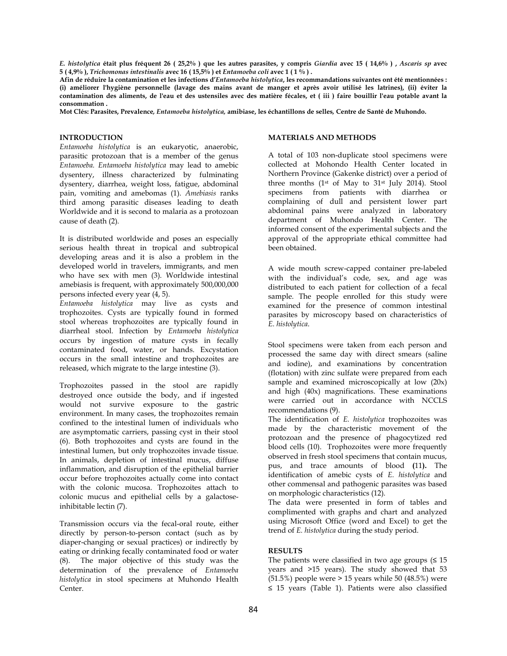*E. histolytica* **était plus fréquent 26 ( 25,2% ) que les autres parasites, y compris** *Giardia* **avec 15 ( 14,6% ) ,** *Ascaris sp* **avec 5 ( 4,9% ),** *Trichomonas intestinalis* **avec 16 ( 15,5% ) et** *Entamoeba coli* **avec 1 ( 1 % ) .** 

**Afin de réduire la contamination et les infections d'***Entamoeba histolytica***, les recommandations suivantes ont été mentionnées : (i) améliorer l'hygiène personnelle (lavage des mains avant de manger et après avoir utilisé les latrines), (ii) éviter la contamination des aliments, de l'eau et des ustensiles avec des matière fécales, et ( iii ) faire bouillir l'eau potable avant la consommation .** 

**Mot Clés: Parasites, Prevalence***, Entamoeba histolytica,* **amibiase, les échantillons de selles***,* **Centre de Santé de Muhondo.** 

## **INTRODUCTION**

*Entamoeba histolytica* is an eukaryotic, anaerobic, parasitic protozoan that is a member of the genus *Entamoeba. Entamoeba histolytica* may lead to amebic dysentery, illness characterized by fulminating dysentery, diarrhea, weight loss, fatigue, abdominal pain, vomiting and amebomas (1). *Amebiasis* ranks third among parasitic diseases leading to death Worldwide and it is second to malaria as a protozoan cause of death (2).

It is distributed worldwide and poses an especially serious health threat in tropical and subtropical developing areas and it is also a problem in the developed world in travelers, immigrants, and men who have sex with men (3). Worldwide intestinal amebiasis is frequent, with approximately 500,000,000 persons infected every year (4, 5).

*Entamoeba histolytica* may live as cysts and trophozoites. Cysts are typically found in formed stool whereas trophozoites are typically found in diarrheal stool. Infection by *Entamoeba histolytica* occurs by ingestion of mature cysts in fecally contaminated food, water, or hands. Excystation occurs in the small intestine and trophozoites are released, which migrate to the large intestine (3).

Trophozoites passed in the stool are rapidly destroyed once outside the body, and if ingested would not survive exposure to the gastric environment. In many cases, the trophozoites remain confined to the intestinal lumen of individuals who are asymptomatic carriers, passing cyst in their stool (6). Both trophozoites and cysts are found in the intestinal lumen, but only trophozoites invade tissue. In animals, depletion of intestinal mucus, diffuse inflammation, and disruption of the epithelial barrier occur before trophozoites actually come into contact with the colonic mucosa. Trophozoites attach to colonic mucus and epithelial cells by a galactoseinhibitable lectin (7).

Transmission occurs via the fecal-oral route, either directly by person-to-person contact (such as by diaper-changing or sexual practices) or indirectly by eating or drinking fecally contaminated food or water (8). The major objective of this study was the determination of the prevalence of *Entamoeba histolytica* in stool specimens at Muhondo Health Center.

## **MATERIALS AND METHODS**

A total of 103 non-duplicate stool specimens were collected at Mohondo Health Center located in Northern Province (Gakenke district) over a period of three months (1st of May to 31st July 2014). Stool specimens from patients with diarrhea or complaining of dull and persistent lower part abdominal pains were analyzed in laboratory department of Muhondo Health Center. The informed consent of the experimental subjects and the approval of the appropriate ethical committee had been obtained.

A wide mouth screw-capped container pre-labeled with the individual's code, sex, and age was distributed to each patient for collection of a fecal sample. The people enrolled for this study were examined for the presence of common intestinal parasites by microscopy based on characteristics of *E. histolytica*.

Stool specimens were taken from each person and processed the same day with direct smears (saline and iodine), and examinations by concentration (flotation) with zinc sulfate were prepared from each sample and examined microscopically at low (20x) and high (40x) magnifications. These examinations were carried out in accordance with NCCLS recommendations (9).

The identification of *E. histolytica* trophozoites was made by the characteristic movement of the protozoan and the presence of phagocytized red blood cells (10). Trophozoites were more frequently observed in fresh stool specimens that contain mucus, pus, and trace amounts of blood **(**11**).** The identification of amebic cysts of *E. histolytica* and other commensal and pathogenic parasites was based on morphologic characteristics (12).

The data were presented in form of tables and complimented with graphs and chart and analyzed using Microsoft Office (word and Excel) to get the trend of *E. histolytica* during the study period.

## **RESULTS**

The patients were classified in two age groups  $( \leq 15$ years and >15 years). The study showed that 53 (51.5%) people were > 15 years while 50 (48.5%) were ≤ 15 years (Table 1). Patients were also classified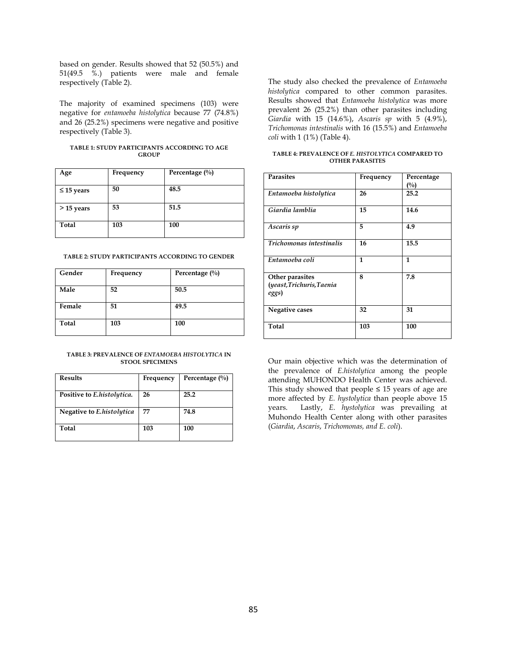based on gender. Results showed that 52 (50.5%) and 51(49.5 %.) patients were male and female respectively (Table 2).

The majority of examined specimens (103) were negative for *entamoeba histolytica* because 77 (74.8%) and 26 (25.2%) specimens were negative and positive respectively (Table 3).

| TABLE 1: STUDY PARTICIPANTS ACCORDING TO AGE |  |
|----------------------------------------------|--|
| <b>GROUP</b>                                 |  |

| Age             | Frequency | Percentage $(\%)$ |
|-----------------|-----------|-------------------|
| $\leq$ 15 years | 50        | 48.5              |
| $>$ 15 years    | 53        | 51.5              |
| Total           | 103       | 100               |

## **TABLE 2: STUDY PARTICIPANTS ACCORDING TO GENDER**

| Gender | Frequency | Percentage (%) |
|--------|-----------|----------------|
| Male   | 52        | 50.5           |
| Female | 51        | 49.5           |
| Total  | 103       | 100            |

### **TABLE 3: PREVALENCE OF** *ENTAMOEBA HISTOLYTICA* **IN STOOL SPECIMENS**

| <b>Results</b>             | Frequency | Percentage $(\%)$ |
|----------------------------|-----------|-------------------|
| Positive to E.histolytica. | 26        | 25.2              |
| Negative to E.histolytica  | 77        | 74.8              |
| Total                      | 103       | 100               |

The study also checked the prevalence of *Entamoeba histolytica* compared to other common parasites. Results showed that *Entamoeba histolytica* was more prevalent 26 (25.2%) than other parasites including *Giardia* with 15 (14.6%), *Ascaris sp* with 5 (4.9%), *Trichomonas intestinalis* with 16 (15.5%) and *Entamoeba coli* with 1 (1%) (Table 4).

| TABLE 4: PREVALENCE OF E. HISTOLYTICA COMPARED TO |  |
|---------------------------------------------------|--|
| <b>OTHER PARASITES</b>                            |  |

| <b>Parasites</b>                                      | Frequency | Percentage<br>$($ %) |
|-------------------------------------------------------|-----------|----------------------|
| Entamoeba histolytica                                 | 26        | 25.2                 |
| Giardia lamblia                                       | 15        | 14.6                 |
| Ascaris sp                                            | 5         | 4.9                  |
| Trichomonas intestinalis                              | 16        | 15.5                 |
| Entamoeba coli                                        | 1         | 1                    |
| Other parasites<br>(yeast, Trichuris, Taenia<br>eggs) | 8         | 7.8                  |
| Negative cases                                        | 32        | 31                   |
| Total                                                 | 103       | 100                  |

Our main objective which was the determination of the prevalence of *E.histolytica* among the people attending MUHONDO Health Center was achieved. This study showed that people  $\leq 15$  years of age are more affected by *E. hystolytica* than people above 15 years. Lastly, *E. hystolytica* was prevailing at Muhondo Health Center along with other parasites (*Giardia*, *Ascaris*, *Trichomonas, and E. coli*).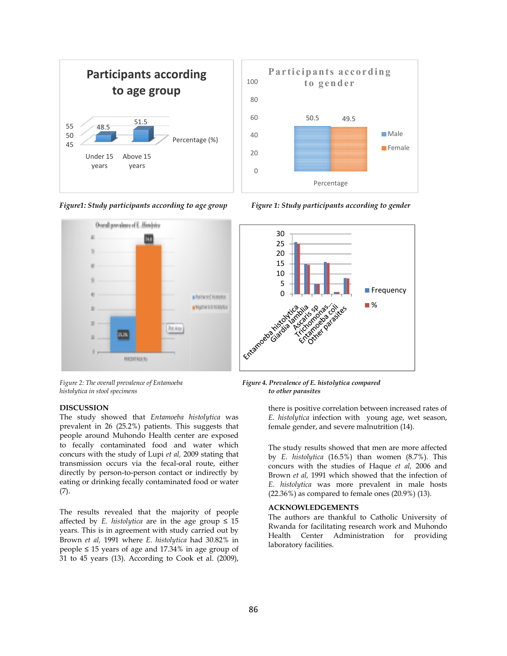

*Figure1: Study participants according to age group*



*Figure 2: The overall prevalence of Entamoeba histolytica in stool specimens* 

## **DISCUSSION**

The study showed that *Entamoeba histolytica* was prevalent in 26 (25.2%) patients. This suggests that people around Muhondo Health center are exposed to fecally contaminated food and water which concurs with the study of Lupi *et al,* 2009 stating that transmission occurs via the fecal-oral route, either directly by person-to-person contact or indirectly by eating or drinking fecally contaminated food or water (7). prevalent in 26 (25.2%) patients. This suggests that people around Muhondo Health center are exposed to fecally contaminated food and water which concurs with the study of Lupi *et al*, 2009 stating that transmission occu **DISCUSSION**<br>
The study showed that *Entanneba histolytica* was<br>
The study showed that mean are properate in 26 (25.2%) patients. This suggests that<br> *Emislo grade according correlation with young age, wet season,*<br>
peopl

The results revealed that the majority of people affected by *E. histolytica* are in the age group  $\leq 15$ years. This is in agreement with study carried out by Brown *et al,* 1991 where *E. histolytica* had 30.82% in people  $\leq 15$  years of age and 17.34% in age group of 31 to 45 years (13). According to Cook et al. (2009),



age group Figure 1: Study participants according to gender



 *Figure 4. Prevalence of E. histolytica compared compared to other parasites*

*E. histolytica* infection with young age, wet season, female gender, and severe malnutrition (14).

The study results showed that men are more affected by *E. histolytica* (16.5%) than women (8.7%). This concurs with the studies of Haque *et al,* 2006 and Brown *et al,* 1991 which showed that the infection of *E. histolytica* was more prevalent in male hosts (22.36%) as compared to female ones (20.9%) (13).

#### **ACKNOWLEDGEMENTS**

The authors are thankful to Catholic Uni University of Rwanda for facilitating research work and Muhondo Health Center Administration for providing laboratory facilities.